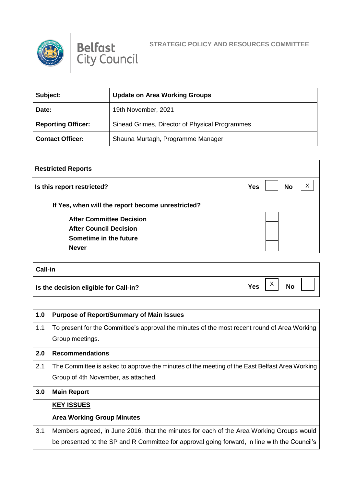



| Subject:                  | <b>Update on Area Working Groups</b>           |
|---------------------------|------------------------------------------------|
| Date:                     | 19th November, 2021                            |
| <b>Reporting Officer:</b> | Sinead Grimes, Director of Physical Programmes |
| <b>Contact Officer:</b>   | Shauna Murtagh, Programme Manager              |

| <b>Restricted Reports</b>                         |                              |
|---------------------------------------------------|------------------------------|
| Is this report restricted?                        | X<br><b>No</b><br><b>Yes</b> |
| If Yes, when will the report become unrestricted? |                              |
| <b>After Committee Decision</b>                   |                              |
| <b>After Council Decision</b>                     |                              |
| Sometime in the future                            |                              |
| <b>Never</b>                                      |                              |
|                                                   |                              |

| <b>Call-in</b>                        |                                           |
|---------------------------------------|-------------------------------------------|
| Is the decision eligible for Call-in? | $\lambda$<br><b>No</b><br><b>Yes</b><br>∧ |

| 1.0 | <b>Purpose of Report/Summary of Main Issues</b>                                               |
|-----|-----------------------------------------------------------------------------------------------|
| 1.1 | To present for the Committee's approval the minutes of the most recent round of Area Working  |
|     | Group meetings.                                                                               |
| 2.0 | <b>Recommendations</b>                                                                        |
| 2.1 | The Committee is asked to approve the minutes of the meeting of the East Belfast Area Working |
|     | Group of 4th November, as attached.                                                           |
| 3.0 | <b>Main Report</b>                                                                            |
|     | <b>KEY ISSUES</b>                                                                             |
|     | <b>Area Working Group Minutes</b>                                                             |
| 3.1 | Members agreed, in June 2016, that the minutes for each of the Area Working Groups would      |
|     | be presented to the SP and R Committee for approval going forward, in line with the Council's |